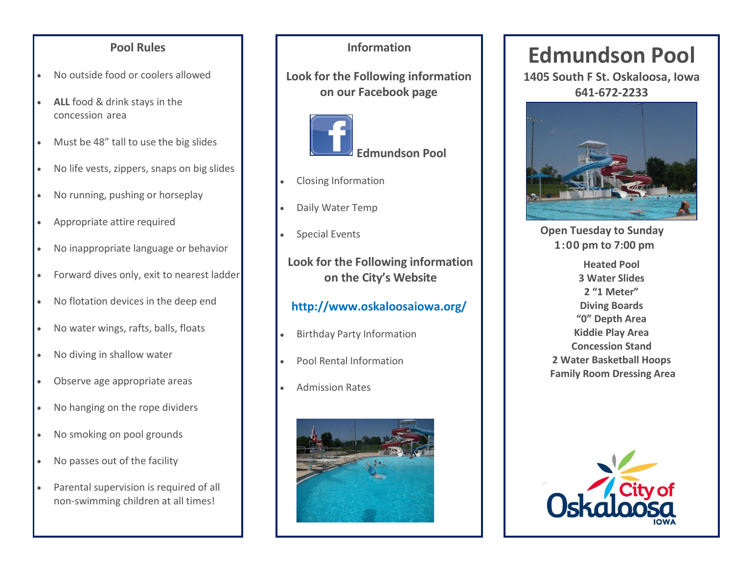### **Pool Rules**

- No outside food or coolers allowed
- **ALL** food & drink stays in the concession area
- Must be 48" tall to use the big slides
- No life vests, zippers, snaps on big slides
- No running, pushing or horseplay
- Appropriate attire required
- No inappropriate language or behavior
- Forward dives only, exit to nearest ladder
- No flotation devices in the deep end
- No water wings, rafts, balls, floats
- No diving in shallow water
- Observe age appropriate areas
- No hanging on the rope dividers
- No smoking on pool grounds
- No passes out of the facility
- Parental supervision is required of all non-swimming children at all times!

### **Information**

**Look for the Following information on our Facebook page**



- Closing Information
- Daily Water Temp
- Special Events

**Look for the Following information on the City's Website**

### **<http://www.oskaloosaiowa.org/>**

- Birthday Party Information
- Pool Rental Information
- Admission Rates



# **Edmundson Pool**

**1405 South F St. Oskaloosa, Iowa 641-672-2233**



 **Open Tuesday to Sunday 1:00 pm to 7:00 pm**

**Heated Pool 3 Water Slides 2 "1 Meter" Diving Boards "0" Depth Area Kiddie Play Area Concession Stand 2 Water Basketball Hoops Family Room Dressing Area**